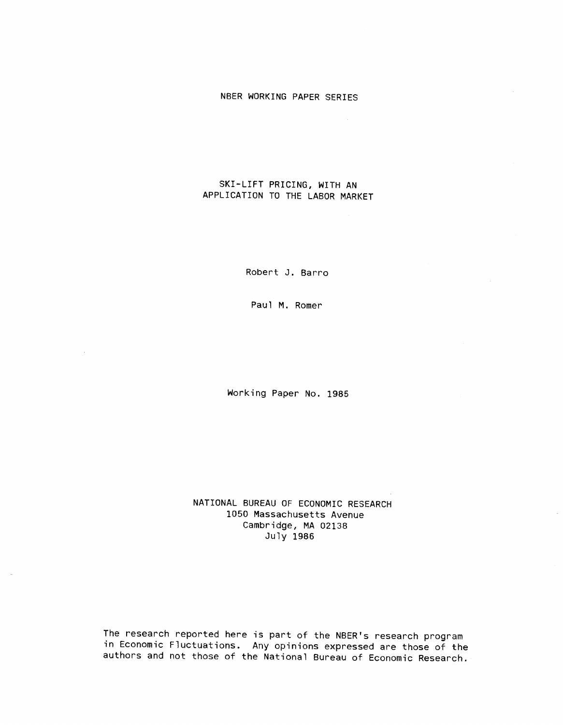# NBER WORKING PAPER SERIES

## SKI-LIFT PRICING, WITH AN APPLICATION TO THE LABOR MARKET

Robert J. Barro

Paul M. Romer

 $\mathcal{A}$ 

Working Paper No. 1985

NATIONAL BUREAU OF ECONOMIC RESEARCH 1050 Massachusetts Avenue Cambridge, MA 02138 July 1985

The research reported here is part of the NBER's research program in Economic Fluctuations. Any opinions expressed are those of the authors and not those of the National Bureau of Economic Research.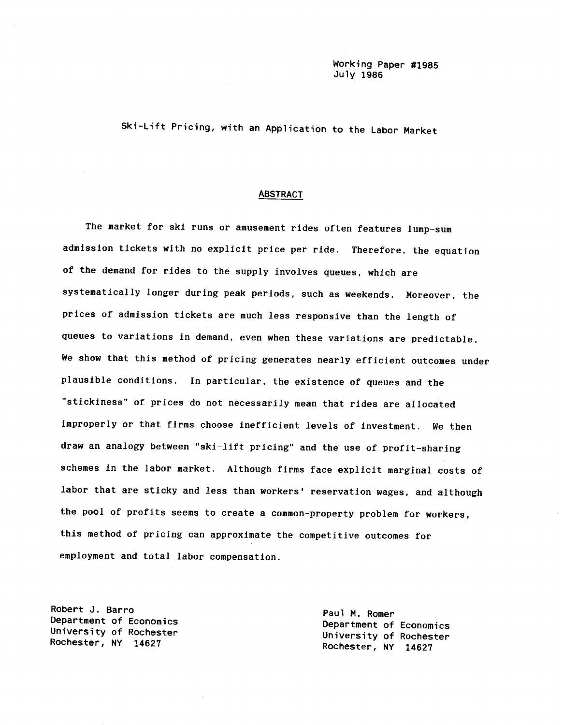Ski-Lift Pricing, with an Application to the Labor Market

#### ABSTRACT

The market for ski runs or amusement rides often features lump—sum admission tickets with no explicit price per ride. Therefore, the equation of the demand for rides to the supply involves queues, which are systematically longer during peak periods, such as weekends. Moreover, the prices of admission tickets are much less responsive than the length of queues to variations in demand, even when these variations are predictable. We show that this method of pricing generates nearly efficient outcomes under plausible conditions. In particular, the existence of queues and the "stickiness" of prices do not necessarily mean that rides are allocated improperly or that firms choose inefficient levels of investment. We then draw an analogy between "ski—lift pricing" and the use of profit-sharing schemes in the labor market. Although firms face explicit marginal costs of labor that are sticky and less than workers' reservation wages, and although the pool of profits seems to create a common—property problem for workers, this method of pricing can approximate the competitive outcomes for employment and total labor compensation.

Robert J. Barro<br>Department of Economics entitled and M. Romer Paul M. Romer

Department of Economics<br>University of Rochester University of Rochester<br>Rochester, NY 14627 Rochester, NY 14627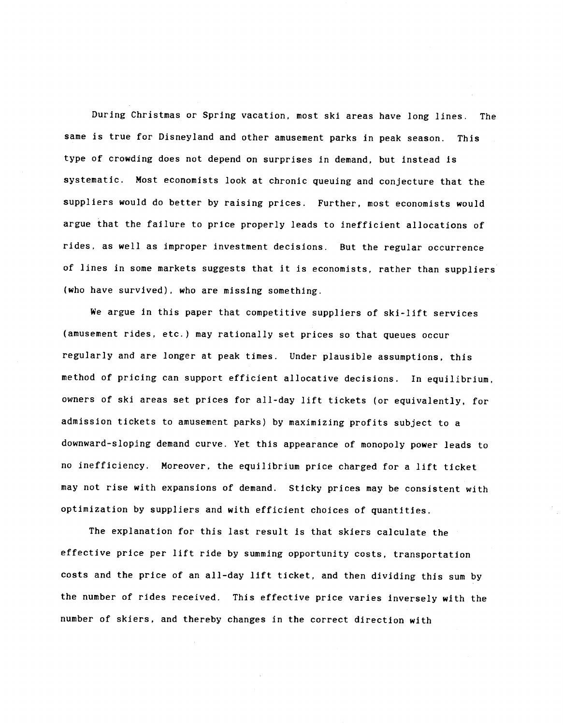During Christmas or Spring vacation, most ski areas have long lines. The same is true for Disneyland and other amusement parks in peak season. This type of crowding does not depend on surprises in demand, but instead is systematic. Most economists look at chronic queuing and conjecture that the suppliers would do better by raising prices. Further, most economists would argue that the failure to price properly leads to inefficient allocations of rides, as well as improper investment decisions. But the regular occurrence of lines in some markets suggests that it is economists, rather than suppliers (who have survived), who are missing something.

We argue in this paper that competitive suppliers of ski-lift services (amusement rides, etc.) may rationally set prices so that queues occur regularly and are longer at peak times. Under plausible assumptions, this method of pricing can support efficient allocative decisions. In equilibrium, owners of ski areas set prices for all-day lift tickets (or equivalently, for admission tickets to amusement parks) by maximizing profits subject to a downward-sloping demand curve. Yet this appearance of monopoly power leads to no inefficiency. Moreover, the equilibrium price charged for a lift ticket may not rise with expansions of demand. Sticky prices may be consistent with optimization by suppliers and with efficient choices of quantities.

The explanation for this last result is that skiers calculate the effective price per lift ride by summing opportunity costs, transportation costs and the price of an all-day lift ticket, and then dividing this sum by the number of rides received. This effective price varies inversely with the number of skiers, and thereby changes in the correct direction with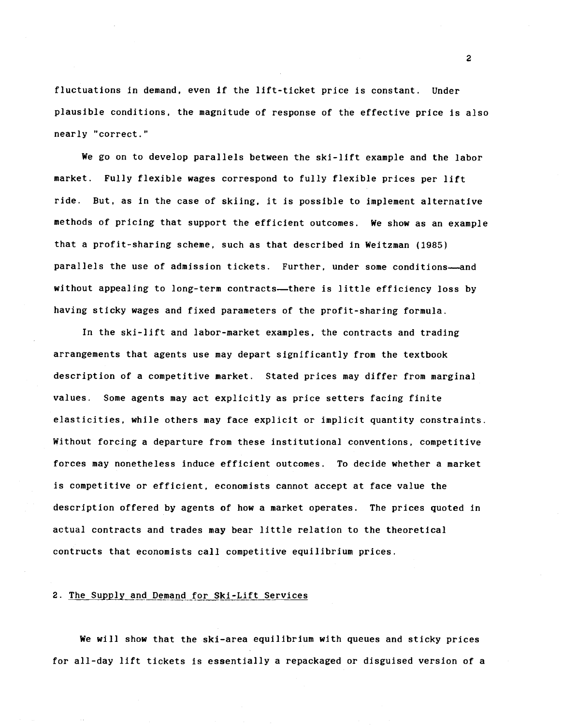fluctuations in demand, even If the lift-ticket price is constant. Under plausible conditions, the magnitude of response of the effective price is also nearly "correct."

We go on to develop parallels between the ski-lift example and the labor market. Fully flexible wages correspond to fully flexible prices per lift ride. But, as In the case of skiing, it is possible to implement alternative methods of pricing that support the efficient outcomes. We show as an example that a profit-sharing scheme, such as that described in Weitzman (1985) parallels the use of admission tickets. Further, under some conditions—and without appealing to long-term contracts—there is little efficiency loss by having sticky wages and fixed parameters of the profit-sharing formula.

In the ski-lift and labor-market examples, the contracts and trading arrangements that agents use may depart significantly from the textbook description of a competitive market. Stated prices may differ from marginal values. Some agents may act explicitly as price setters facing finite elasticities, while others may face explicit or implicit quantity constraints. Without forcing a departure from these institutional conventions, competitive forces may nonetheless induce efficient outcomes. To decide whether a market is competitive or efficient, economists cannot accept at face value the description offered by agents of how a market operates. The prices quoted In actual contracts and trades may bear little relation to the theoretical contructs that economists call competitive equilibrium prices.

## 2. The Supply and Demand for Ski-Lift Services

We will show that the ski-area equilibrium with queues and sticky prices for all-day lift tickets is essentially a repackaged or disguised version of a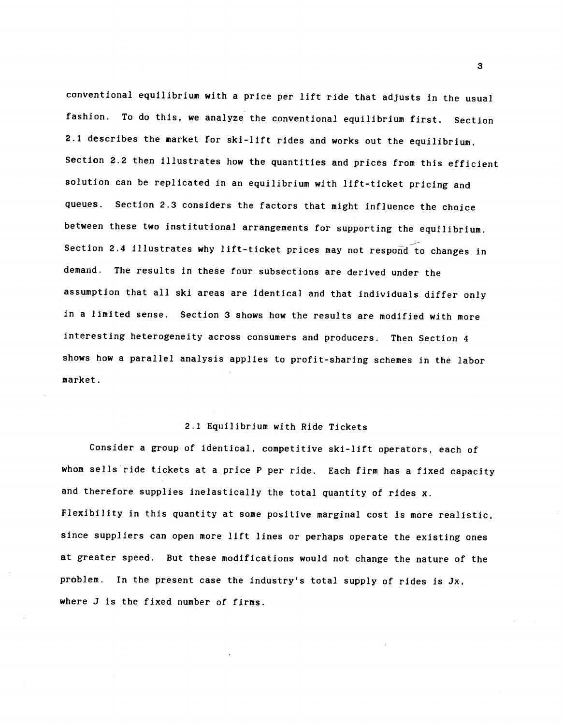conventional equilibrium with a price per lift ride that adjusts in the usual fashion. To do this, we analyze the conventional equilibrium first. Section 2.1 describes the market for ski-lift rides and works out the equilibrium. Section 2.2 then illustrates how the quantities and prices from this efficient solution can be replicated in an equilibrium with lift-ticket pricing and queues. Section 2.3 considers the factors that might influence the choice between these two institutional arrangements for supporting the equilibrium. Section 2.4 illustrates why lift-ticket prices may not respoñd to changes in demand. The results in these four subsections are derived under the assumption that all ski areas are identical and that individuals differ only in a limited sense. Section 3 shows how the results are modified with more interesting heterogeneity across consumers and producers. Then Section 4 shows how a parallel analysis applies to profit-sharing schemes in the labor market.

#### 2.1 Equilibrium with Ride Tickets

Consider a group of identical, competitive ski-lift operators, each of whom sells ride tickets at a price P per ride. Each firm has a fixed capacity and therefore supplies inelastically the total quantity of rides x. Flexibility in this quantity at some positive marginal cost is more realistic, since suppliers can open more lift lines or perhaps operate the existing ones at greater speed. But these modifications would not change the nature of the problem. In the present case the industry's total supply of rides is Jx, where J is the fixed number of firms.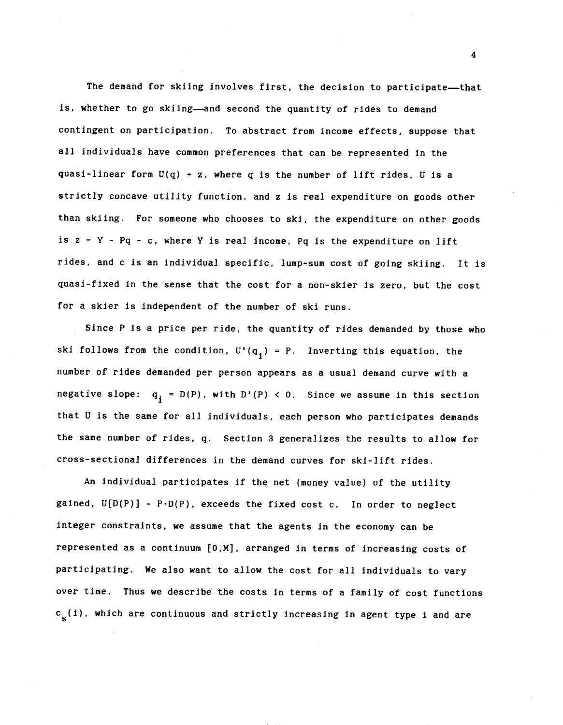The demand for skiing involves first, the decision to participate—that is, whether to go skiing—and second the quantity of rides to demand contingent on participation. To abstract from income effects, suppose that all individuals have common preferences that can be represented in the quasi-linear form  $U(q) + z$ , where q is the number of lift rides, U is a strictly concave utility function, and z is real expenditure on goods other than skiing. For someone who chooses to ski, the expenditure on other goods is  $z = Y - PQ - c$ , where Y is real income, Pq is the expenditure on lift rides, and c is an individual specific, lump-sum cost of going skiing. It is quasi-fixed in the sense that the cost for a non-skier is zero, but the cost for a skier is Independent of the number of ski runs.

Since P is a price per ride, the quantity of rides demanded by those who ski follows from the condition,  $U'(q_i) = P$ . Inverting this equation, the number of rides demanded per person appears as a usual demand curve with a negative slope:  $q_i = D(P)$ , with  $D'(P) < 0$ . Since we assume in this section that U is the same for all individuals, each person who participates demands the same number of rides, q. Section 3 generalizes the results to allow for cross-sectional differences in the demand curves for ski-lift rides.

An Individual participates if the net (money value) of the utility gained,  $U[D(P)] - P \cdot D(P)$ , exceeds the fixed cost c. In order to neglect Integer constraints, we assume that the agents In the economy can be represented as a continuum [0,M}, arranged In terms of Increasing costs of participating. We also want to allow the cost for all Individuals to vary over time. Thus we describe the costs In terms of a family of cost functions  $c_{s}(i)$ , which are continuous and strictly increasing in agent type i and are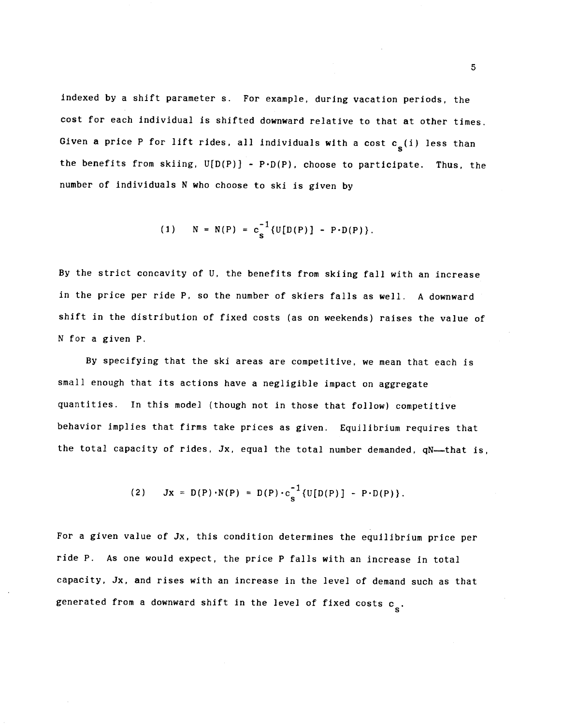indexed by a shift parameter s. For example, during vacation periods, the cost for each individual is shifted downward relative to that at other times. Given a price P for lift rides, all individuals with a cost  $c_g(i)$  less than the benefits from skiing,  $U[D(P)] - P \cdot D(P)$ , choose to participate. Thus, the number of individuals N who choose to ski is given by

(1) 
$$
N = N(P) = c_s^{-1} \{U[D(P)] - P \cdot D(P)\}.
$$

By the strict concavity of U, the benefits from skiing fall with an increase in the price per ride P, so the number of skiers falls as well. A downward shift in the distribution of fixed costs (as on weekends) raises the value of N for a given P.

By specifying that the ski areas are competitive, we mean that each is small enough that its actions have a negligible impact on aggregate quantities. In this model (though not in those that follow) competitive behavior implies that firms take prices as given. Equilibrium requires that the total capacity of rides, Jx, equal the total number demanded, qN—that is,

(2) 
$$
Jx = D(P) \cdot N(P) = D(P) \cdot c_s^{-1} \{U[D(P)] - P \cdot D(P)\}.
$$

For a given value of Jx, this condition determines the equilibrium price per ride P. As one would expect, the price P falls with an increase in total capacity, Jx, and rises with an increase in the level of demand such as that generated from a downward shift in the level of fixed costs  $c_{e}$ .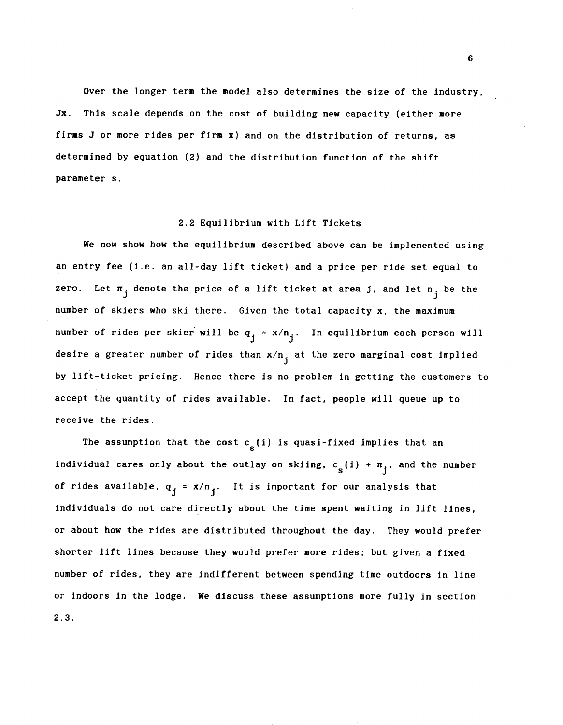Over the longer term the model also determines the size of the industry, Jx. This scale depends on the cost of building new capacity (either more firms J or more rides per firm x) and on the distribution of returns, as determined by equation (2) and the distribution function of the shift parameter s.

#### 2.2 Equilibrium with Lift Tickets

We now show how the equilibrium described above can be implemented using an entry fee (i.e. an all-day lift ticket) and a price per ride set equal to zero. Let  $\pi_{i}$  denote the price of a lift ticket at area j, and let  $n_{i}$  be the number of skiers who ski there. Given the total capacity x, the maximum number of rides per skier will be  $q_i = x/n_i$ . In equilibrium each person will desire a greater number of rides than  $x/n_i$  at the zero marginal cost implied by lift-ticket pricing. Hence there is no problem in getting the customers to accept the quantity of rides available. tn fact, people will queue up to receive the rides.

The assumption that the cost  $c_{\rm g}(i)$  is quasi-fixed implies that an individual cares only about the outlay on skiing,  $c_{s}(i) + \pi_{i}$ , and the number of rides available,  $q_j = x/n_j$ . It is important for our analysis that individuals do not care directly about the time spent waiting in lift lines, or about how the rides are distributed throughout the day. They would prefer shorter lift lines because they would prefer more rides; but given a fixed number of rides, they are indifferent between spending time outdoors in line or indoors in the lodge. We discuss these assumptions more fully in section 2.3.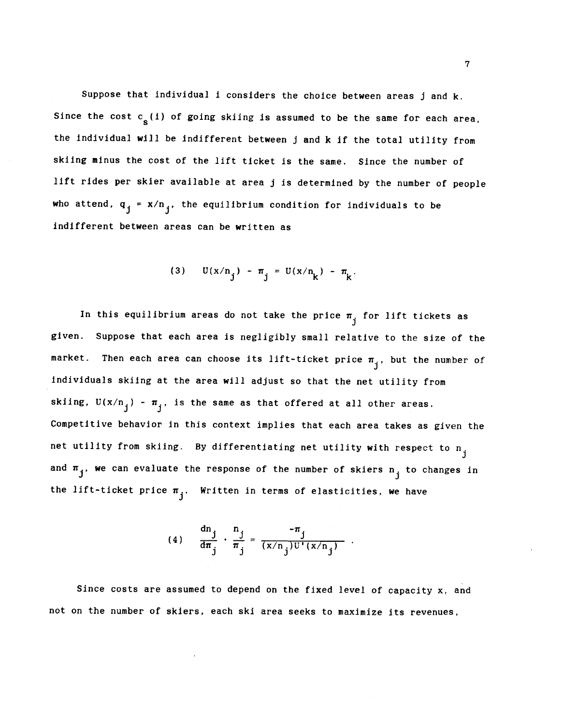Suppose that individual i considers the choice between areas j and k. Since the cost  $c_{s}(i)$  of going skiing is assumed to be the same for each area, the individual will be Indifferent between j and k if the total utility from skiing minus the cost of the lift ticket is the same. Since the number of lift rides per skier available at area j is determined by the number of people who attend,  $q_i = x/n_i$ , the equilibrium condition for individuals to be indifferent between areas can be written as

(3) 
$$
U(x/n_i) - \pi_i = U(x/n_k) - \pi_k
$$
.

In this equilibrium areas do not take the price  $\pi_{\vec{1}}$  for lift tickets as given. Suppose that each area is negligibly small relative to the size of the market. Then each area can choose its lift-ticket price  $\pi_{\vec{i}}$ , but the number of individuals skiing at the area will adjust so that the net utility from skiing,  $U(x/n_j) - \pi_j$ , is the same as that offered at all other areas. Competitive behavior in this context implies that each area takes as given the net utility from skiing. By differentiating net utility with respect to  $n_{\text{j}}$ and  $\pi_j$ , we can evaluate the response of the number of skiers  $n_i$  to changes in the lift-ticket price  $\pi_{\overline{i}}$ . Written in terms of elasticities, we have

(4) 
$$
\frac{dn_j}{d\pi_j} \cdot \frac{n_j}{\pi_j} = \frac{-\pi_j}{(x/n_j)U'(x/n_j)}.
$$

Since costs are assumed to depend on the fixed level of capacity x, and not on the number of skiers, each ski area seeks to maximize its revenues,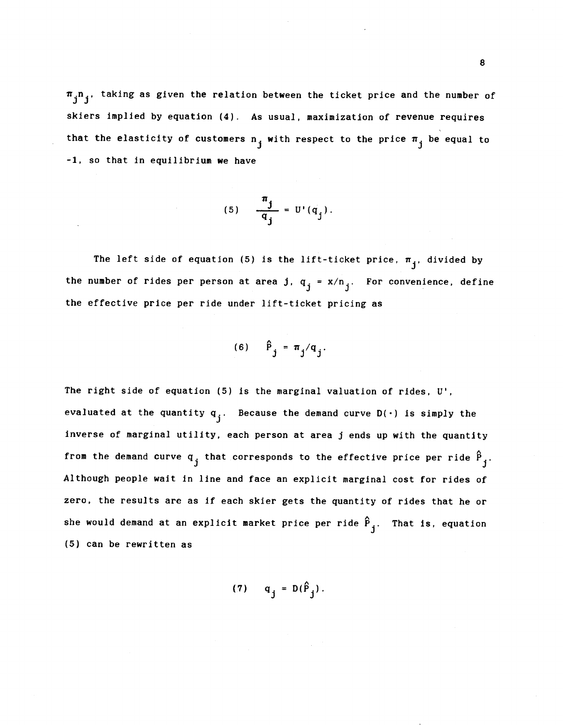$\pi_{i}^{n}$ , taking as given the relation between the ticket price and the number of skiers implied by equation (4). As usual, maximization of revenue requires that the elasticity of customers  $n_i$  with respect to the price  $\pi_i$  be equal to -1. so that in equilibrium we have

$$
(5) \quad \frac{\pi_j}{q_j} = U'(q_j).
$$

The left side of equation (5) is the lift-ticket price,  $\boldsymbol{\pi}_\mathbf{j}$ , divided by the number of rides per person at area j,  $q_i = x/n_i$ . For convenience, define the effective price per ride under lift-ticket pricing as

$$
(6) \qquad \hat{P}_{j} = \pi_{j}/q_{j}.
$$

The right side of equation (5) is the marginal valuation of rides,  $U'$ , evaluated at the quantity  $q_i$ . Because the demand curve  $D(\cdot)$  is simply the inverse of marginal utility, each person at area j ends up with the quantity from the demand curve  $q_j$  that corresponds to the effective price per ride  $\hat{P}_j$ . Although people wait in line and face an explicit marginal cost for rides of zero, the results are as if each skier gets the quantity of rides that he or she would demand at an explicit market price per ride  $\hat{P}_{i}$ . That is, equation (5) can be rewritten as

$$
(7) \tq_j = D(\hat{P}_j).
$$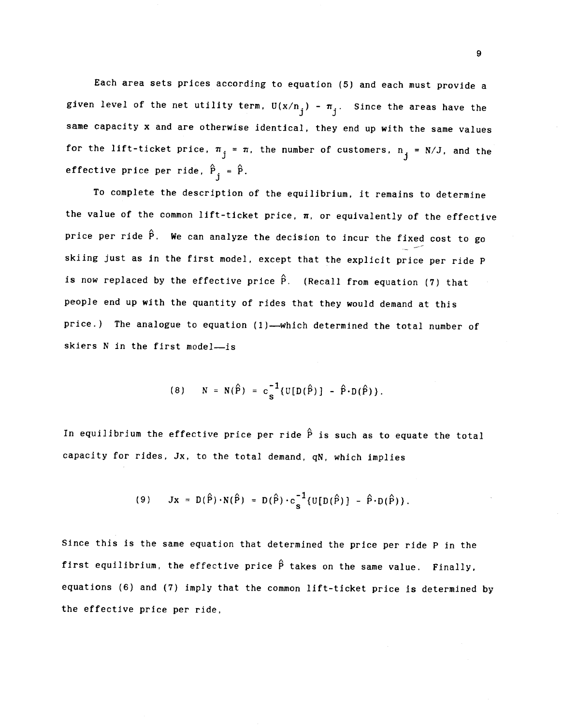Each area sets prices according to equation (5) and each must provide a given level of the net utility term,  $U(x/n_i) - \pi_i$ . Since the areas have the same capacity x and are otherwise identical, they end up with the same values for the lift-ticket price,  $\pi_i = \pi$ , the number of customers,  $n_i = N/J$ , and the effective price per ride,  $\hat{P}_{i} = \hat{P}$ .

To complete the description of the equilibrium, it remains to determine the value of the common lift-ticket price,  $\pi$ , or equivalently of the effective price per ride  $\hat{P}$ . We can analyze the decision to incur the fixed cost to go skiing just as In the first model, except that the explicit price per ride P is now replaced by the effective price  $\hat{\mathsf{P}}.$  (Recall from equation (7) that people end up with the quantity of rides that they would demand at this price.) The analogue to equation (1)—which determined the total number of skiers N in the first model—is

(8) 
$$
N = N(\hat{P}) = c_s^{-1} \{ U[D(\hat{P})] - \hat{P} \cdot D(\hat{P}) \}.
$$

In equilibrium the effective price per ride  $\hat{P}$  is such as to equate the total capacity for rides, Jx, to the total demand, qN, which implies

(9) 
$$
Jx = D(\hat{P}) \cdot N(\hat{P}) = D(\hat{P}) \cdot c_s^{-1} \{U[D(\hat{P})] - \hat{P} \cdot D(\hat{P})\}.
$$

Since this is the same equation that determined the price per ride P in the first equilibrium, the effective price  $\hat{P}$  takes on the same value. Finally, equations (6) and (7) imply that the common lift-ticket price is determined by the effective price per ride,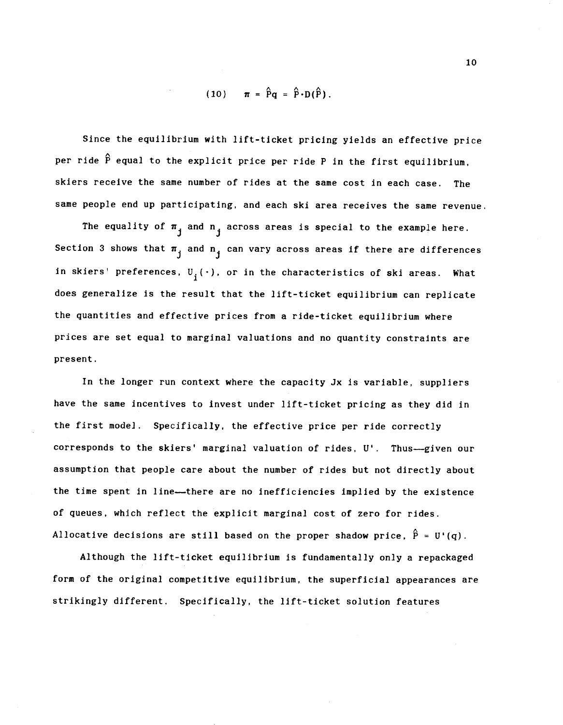$$
(10) \qquad \pi = \hat{P}q = \hat{P} \cdot D(\hat{P}).
$$

Since the equilibrium with lift-ticket pricing yields an effective price per ride  $\mathbf{\hat{P}}$  equal to the explicit price per ride P in the first equilibrium, skiers receive the same number of rides at the same cost in each case. The same people end up participating, and each ski area receives the same revenue.

The equality of  $\pi_{i}$  and  $n_{i}$  across areas is special to the example here. Section 3 shows that  $\pi_{i}$  and  $n_{i}$  can vary across areas if there are differences in skiers' preferences,  $U_j(\cdot)$ , or in the characteristics of ski areas. What does generalize is the result that the lift-ticket equilibrium can replicate the quantities and effective prices from a ride-ticket equilibrium where prices are set equal to marginal valuations and no quantity constraints are present.

In the longer run context where the capacity Jx Is variable, suppliers have the same incentives to invest under lift-ticket pricing as they did in the first model. Specifically, the effective price per ride correctly corresponds to the skiers' marginal valuation of rides, U'. Thus—given our assumption that people care about the number of rides but not directly about the time spent in line—there are no Inefficiencies implied by the existence of queues, which reflect the explicit marginal cost of zero for rides. Allocative decisions are still based on the proper shadow price,  $\hat{P} = U'(q)$ .

Although the lift-ticket equilibrium is fundamentally only a repackaged form of the original competitive equilibrium, the superficial appearances are strikingly different. Specifically, the lift-ticket solution features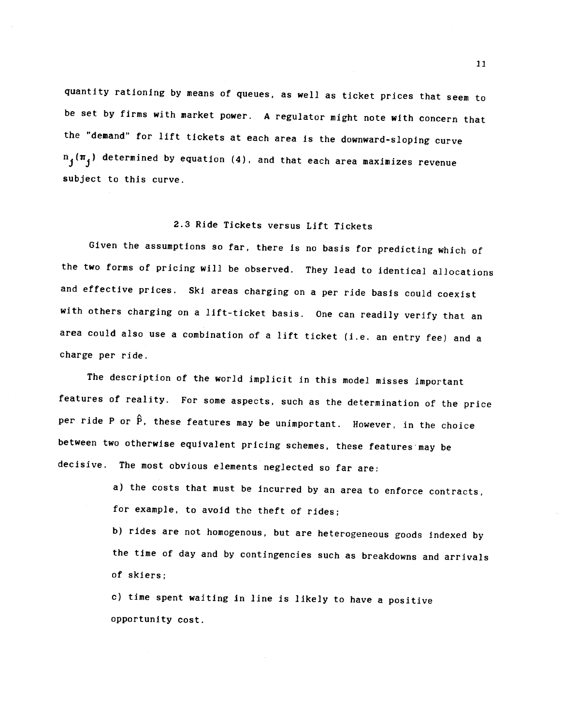quantity rationing by means of queues, as well as ticket prices that seem to be set by firms with market power. A regulator might note with Concern that the "demand' for lift tickets at each area is the downward-sloping curve  $n_j(\pi_j)$  determined by equation (4), and that each area maximizes revenue subject to this curve.

## 2.3 Ride Tickets versus Lift Tickets

Given the assumptions so far, there Is no basis for predicting which of the two forms of pricing will be observed. They lead to identical allocations and effective prices. Ski areas charging on a per ride basis could coexist with others charging on a lift-ticket basis. One can readily verify that an area could also use a combination of a lift ticket (i.e. an entry fee) and a charge per ride.

The description of the world implicit in this model misses important features of reality. For some aspects, such as the determination of the price per ride P or  $\hat{P}$ , these features may be unimportant. However, in the choice between two otherwise equivalent pricing schemes, these features may be decisive. The most obvious elements neglected so far are:

> a) the costs that must be incurred by an area to enforce contracts, for example, to avoid the theft of rides;

b) rides are not homogenous, but are heterogeneous goods Indexed by the time of day and by Contingencies such as breakdowns and arrivals of skiers;

c) time spent waiting in line is likely to have a positive opportunity cost.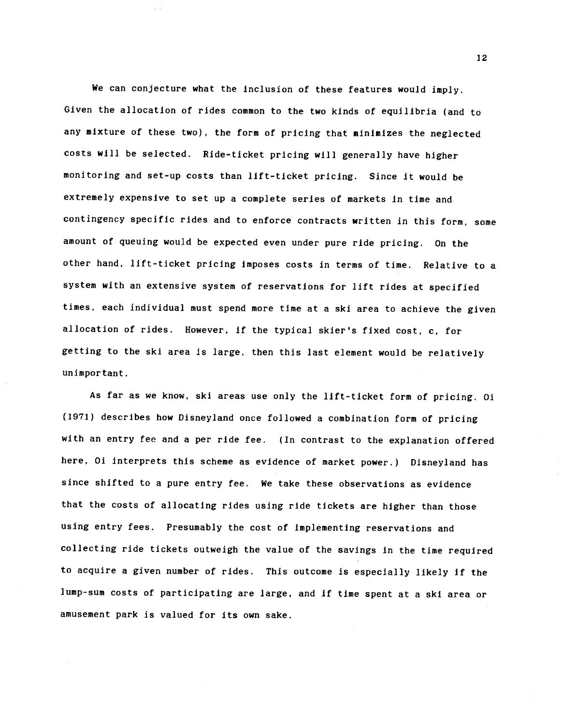We can conjecture what the inclusion of these features would imply. Given the allocation of rides common to the two kinds of equilibria (and to any mixture of these two), the form of pricing that minimizes the neglected costs will be selected. Ride-ticket pricing will generally have higher monitoring and set-up costs than lift-ticket pricing. Since it would be extremely expensive to set up a complete series of markets In time and. contingency specific rides and to enforce contracts written in this form, some amount of queuing would be expected even under pure ride pricing. On the other hand, lift-ticket pricing imposes costs in terms of time. Relative to a system with an extensive system of reservations for lift rides at specified times, each individual must spend more time at a ski area to achieve the given allocation of rides. However, if the typical skier's fixed cost, c, for getting to the ski area is large, then this last element would be relatively unimportant.

As far as we know, ski areas use only the lift-ticket form of pricing. 01 (1971) describes how Disneyland once followed a combination form of pricing with an entry fee and a per ride fee. (In contrast to the explanation offered here, Oi interprets this scheme as evidence of market power.) Disneyland has since shifted to a pure entry fee. We take these observations as evidence that the costs of allocating rides using ride tickets are higher than those using entry fees. Presumably the cost of Implementing reservations and collecting ride tickets outweigh the value of the savings in the time required to acquire a given number of rides. This outcome is especially likely If' the lump-sum costs of participating are large, and If time spent at a ski area or amusement park is valued for its own sake.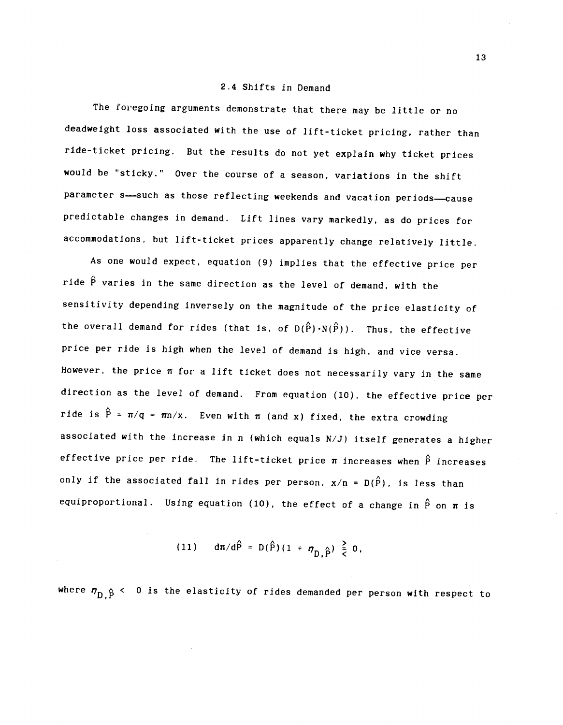#### 2.4 Shifts in Demand

The foregoing arguments demonstrate that there may be little or no deadweight loss associated with the use of lift-ticket pricing, rather than ride-ticket pricing. But the results do not yet explain why ticket prices would be "sticky." Over the course of a season, variations in the shift parameter s—such as those reflecting weekends and vacation periods—cause predictable changes in demand. Lift lines vary markedly, as do prices for accommodations, but lift-ticket prices apparently change relatively little.

As one would expect, equation (9) implies that the effective price per  $\hat{\mathbf{A}}$  and  $\hat{\mathbf{A}}$ ride P varies in the same direction as the level of demand, with the sensitivity depending inversely on the magnitude of the price elasticity of the overall demand for rides (that is, of D( $\hat{P}$ )·N( $\hat{P}$ )). Thus, the effective price per ride is high when the level of demand is high, and vice versa. However, the price  $\pi$  for a lift ticket does not necessarily vary in the same direction as the level of demand. From equation (10), the effective price per ride is  $\hat{P} = \pi/q = \pi n/x$ . Even with  $\pi$  (and x) fixed, the extra crowding associated with the increase in n (which equals N/J) itself generates a higher effective price per ride. The lift-ticket price  $\pi$  increases when  $\hat{P}$  increases only if the associated fall in rides per person,  $x/n = D(\hat{P})$ , is less than equiproportional. Using equation (10), the effect of a change in  $\hat{P}$  on  $\pi$  is

(11) 
$$
d\pi/d\hat{P} = D(\hat{P})(1 + \eta_{n}\hat{p}) \frac{2}{5}0
$$
,

where  $\eta_{\text{D}}$   $\beta$  < 0 is the elasticity of rides demanded per person with respect to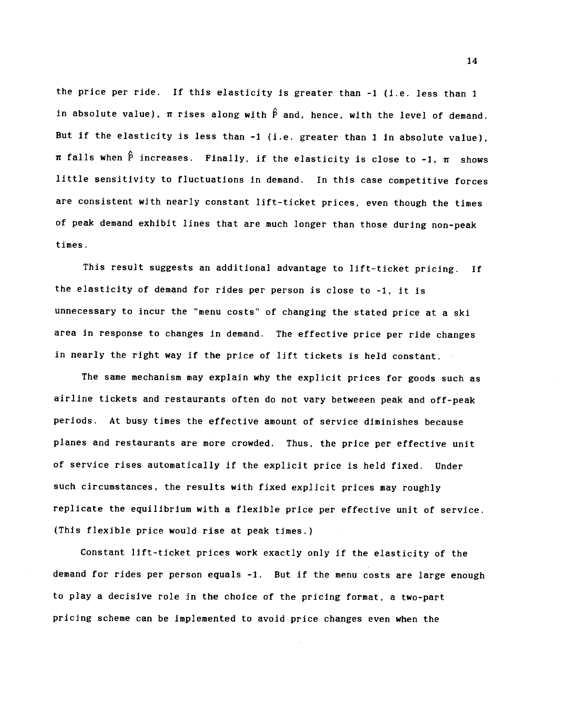the price per ride. If this elasticity is greater than -1 (i.e. less than 1 in absolute value),  $\pi$  rises along with  $\hat{P}$  and, hence, with the level of demand. But if the elasticity is less than -1 (i.e. greater than 1 in absolute value),  $\pi$  falls when  $\hat{P}$  increases. Finally, if the elasticity is close to -1,  $\pi$  shows little sensitivity to fluctuations in demand. In this case competitive forces are consistent with nearly constant lift-ticket prices, even though the times of peak demand exhibit lines that are much longer than those during non-peak times.

This result suggests an additional advantage to lift-ticket pricing. If the elasticity of demand for rides per person is close to -1, it is unnecessary to incur the "menu costs' of changing the stated price at a ski area in response to changes in demand. The effective price per ride changes in nearly the right way if the price of lift tickets is held constant.

The same mechanism may explain why the explicit prices for goods such as airline tickets and restaurants often do not vary betweeen peak and off-peak periods. At busy times the effective amount of service diminishes because planes and restaurants are more crowded. Thus, the price per effective unit of service rises automatically If the explicit price is held fixed. Under such circumstances, the results with fixed explicit prices may roughly replicate the equilibrium with a flexible price per effective unit of service. (This flexible price would rise at peak times.)

Constant lift-ticket prices work exactly only if the elasticity of the demand for rides per person equals -1. But if the menu costs are large enough to play a decisive role in the choice of the pricing format, a two-part pricing scheme can be implemented to avoid price changes even when the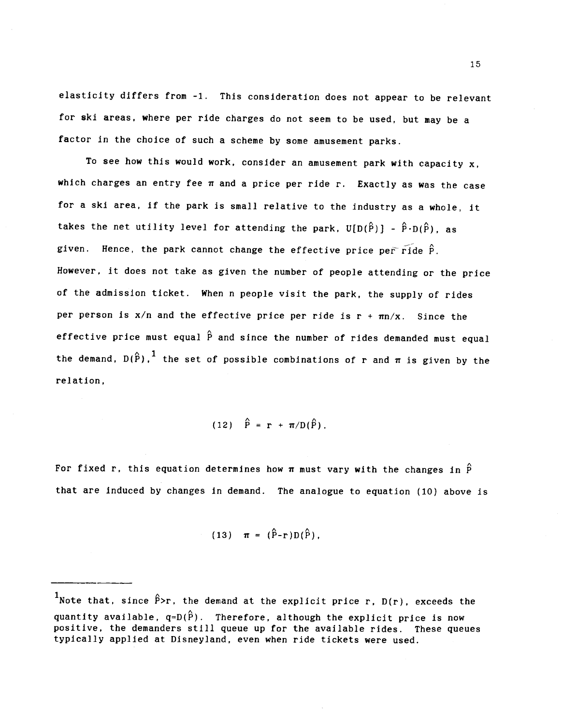elasticity differs from -1. This consideration does not appear to be relevant for ski areas, where per ride charges do not seem to be used, but may be a factor in the choice of such a scheme by some amusement parks.

To see how this would work, consider an amusement park with capacity  $x$ , which charges an entry fee  $\pi$  and a price per ride r. Exactly as was the case for a ski area, if the park is small relative to the industry as a whole, it takes the net utility level for attending the park,  $U[D(\hat{P})] - \hat{P} \cdot D(\hat{P})$ , as given. Hence, the park cannot change the effective price per ride  $\hat{P}$ . However, it does not take as given the number of people attending or the price of the admission ticket. When n people visit the park, the supply of rides per person is  $x/n$  and the effective price per ride is  $r + \pi n/x$ . Since the effective price must equal  $\hat{P}$  and since the number of rides demanded must equal the demand,  $D(\hat{P})$ , <sup>1</sup> the set of possible combinations of r and  $\pi$  is given by the relation,

$$
(12) \quad \hat{P} = r + \pi/D(\hat{P}).
$$

For fixed r, this equation determines how  $\pi$  must vary with the changes in  $\hat{P}$ that are induced by changes in demand. The analogue to equation (10) above is

(13) 
$$
\pi = (\hat{P}-r)D(\hat{P}),
$$

Twote that, since  $\hat{P}$ >r, the demand at the explicit price r, D(r), exceeds the quantity available,  $q=D(\hat{P})$ . Therefore, although the explicit price is now positive, the demanders still queue up for the available rides. These queues typically applied at Disneyland, even when ride tickets were used.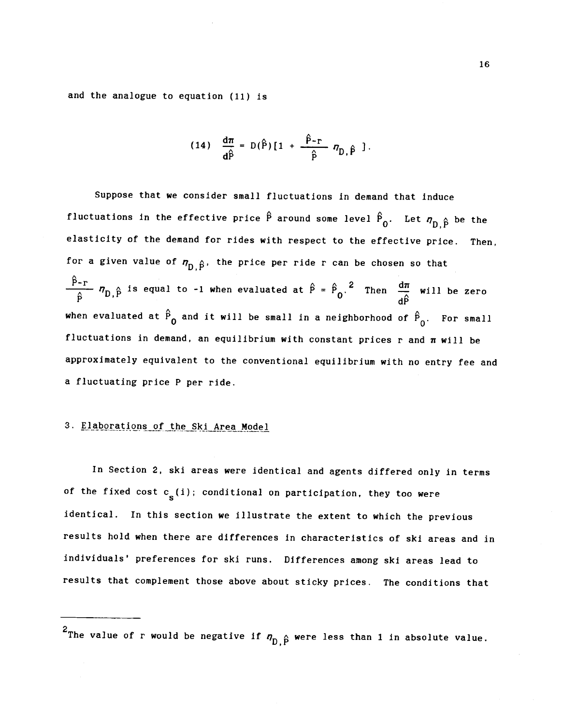and the analogue to equation (11) is

(14) 
$$
\frac{d\pi}{d\hat{P}} = D(\hat{P}) [1 + \frac{\hat{P}-r}{\hat{P}} \eta_{D,\hat{P}}].
$$

Suppose that we consider small fluctuations in demand that induce fluctuations in the effective price  $\hat{P}$  around some level  $\hat{P}_0$ . Let  $\eta_{D,\hat{P}}$  be the elasticity of the demand for rides with respect to the effective price. Then, for a given value of  $\eta_{D,\hat{P}}$ , the price per ride r can be chosen so that  $\hat{P}-r$  A is equal to 1 when evaluated at  $\hat{P}-\hat{P}$  and  $\hat{P}$  when  $\hat{P}$  $\frac{2\pi}{\hat{P}}$   $n_{D,\hat{P}}$  is equal to -1 when evaluated at  $\hat{P} = \hat{P}_{0}$ . Then  $\frac{d\pi}{d\hat{P}}$  will be zero when evaluated at  $\hat{P}_{0}$  and it will be small in a neighborhood of  $\hat{P}_{0}$ . For small fluctuations in demand, an equilibrium with constant prices r and  $\pi$  will be approximately equivalent to the conventional equilibrium with no entry fee and a fluctuating price P per ride.

## 3. Elaborations of the Ski Area Model

In Section 2, ski areas were identical and agents differed only in terms of the fixed cost  $c_{s}(i)$ ; conditional on participation, they too were identical. In this section we Illustrate the extent to which the previous results hold when there are differences in characteristics of ski areas and in individuals' preferences for ski runs. Differences among ski areas lead to results that complement those above about sticky prices. The conditions that

<sup>&</sup>lt;sup>2</sup>The value of r would be negative if  $\eta_{D,\hat{P}}$  were less than 1 in absolute value.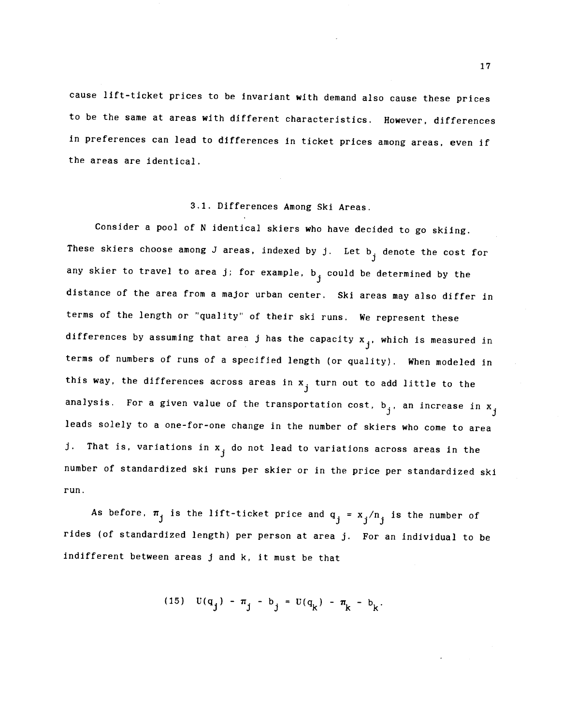cause lift-ticket prices to be invariant with demand also cause these prices to be the same at areas with different characteristics. However, differences in preferences can lead to differences in ticket prices among areas, even if the areas are identical.

## 3.1. Differences Among Ski Areas.

Consider a pool of N identical skiers who have decided to go skiing. These skiers choose among J areas, indexed by j. Let  $b_{j}$  denote the cost for any skier to travel to area j; for example,  $b_i$  could be determined by the distance of the area from a major urban center. Ski areas may also differ in terms of the length or 'quality' of their ski runs. We represent these differences by assuming that area j has the capacity  $x_{j}$ , which is measured in terms of numbers of runs of a specified length (or quality). When modeled in this way, the differences across areas in  $x_{i}$  turn out to add little to the analysis. For a given value of the transportation cost,  $b_j$ , an increase in  $x_j$ leads solely to a one-for-one change in the number of skiers who come to area j. That is, variations in x<sub>j</sub> do not lead to variations across areas in the number of standardized ski runs per skier or in the price per standardized ski run.

As before,  $\pi_j$  is the lift-ticket price and  $q_j = x_j/n_j$  is the number of rides (of standardized length) per person at area j. For an individual to be Indifferent between areas j and k, it must be that

(15) 
$$
U(q_j) - \pi_j - b_j = U(q_k) - \pi_k - b_k
$$
.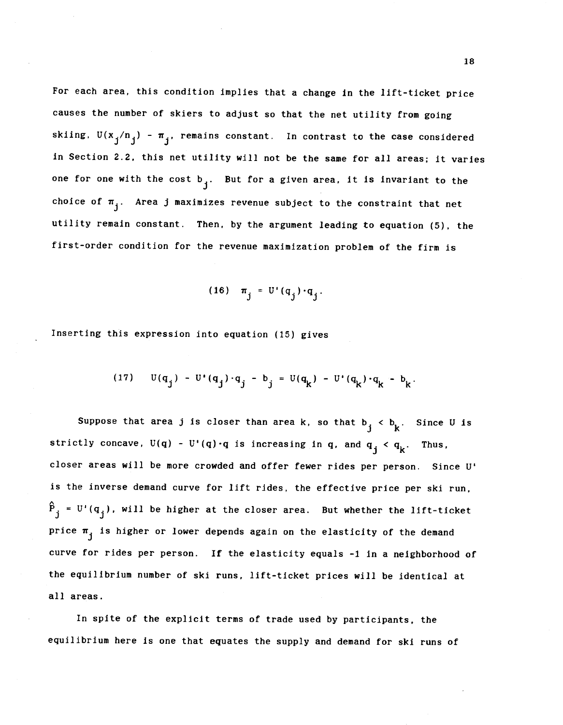For each area, this condition implies that a change in the lift-ticket price causes the number of skiers to adjust so that the net utility from going skiing,  $U(x_j/n_j) - \pi_j$ , remains constant. In contrast to the case considered in Section 2.2, this net utility will not be the same for all areas; it varies one for one with the cost  $b_i$ . But for a given area, it is invariant to the choice of  $\pi_{j}$ . Area j maximizes revenue subject to the constraint that net utility remain constant. Then, by the argument leading to equation (5), the first-order condition for the revenue maximization problem of the firm is

$$
(16) \quad \pi_j = U'(q_j) \cdot q_j.
$$

Inserting this expression into equation (15) gives

(17) 
$$
U(q_j) - U'(q_j) \cdot q_j - b_j = U(q_k) - U'(q_k) \cdot q_k - b_k
$$

Suppose that area j is closer than area k, so that  $b_j < b_k$ . Since U is strictly concave,  $U(q) - U'(q) \cdot q$  is increasing in q, and  $q_j < q_k$ . Thus, closer areas will be more crowded and offer fewer rides per person. Since U' is the inverse demand curve for lift rides, the effective price per ski run,  $\hat{P}_i = U'(q_i)$ , will be higher at the closer area. But whether the lift-ticket price  $\pi_{i}$  is higher or lower depends again on the elasticity of the demand curve for rides per person. If the elasticity equals -1 in a neighborhood of the equilibrium number of ski runs, lift-ticket prices will be identical at all areas.

In spite of the explicit terms of trade used by participants, the equilibrium here is one that equates the supply and demand for ski runs of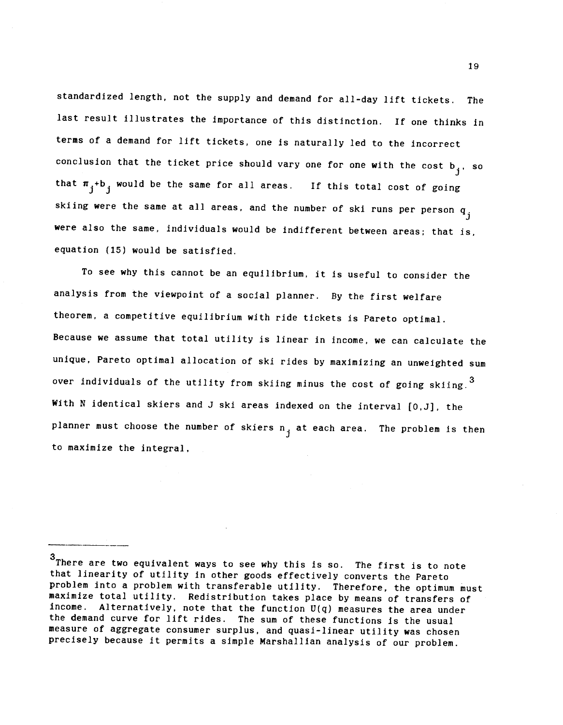standardized length, not the supply and demand for all-day lift tickets. The last result illustrates the importance of this distinction. If one thinks in terms of a demand for lift tickets, one is naturally led to the incorrect conclusion that the ticket price should vary one for one with the cost  $b_j$ . so that  $\pi_i$ +b<sub>i</sub> would be the same for all areas. If this total cost of going skiing were the same at all areas, and the number of ski runs per person  $q_i$ were also the same, individuals would be indifferent between areas; that is, equation (15) would be satisfied.

To see why this cannot be an equilibrium, it is useful to consider the analysis from the viewpoint of a social planner. By the first welfare theorem, a competitive equilibrium with ride tickets is Pareto optimal. Because we assume that total utility is linear in income, we can calculate the unique, Pareto optimal allocation of ski rides by maximizing an unweighted sum over individuals of the utility from skiing minus the cost of going skiing.<sup>3</sup> With N identical skiers and J ski areas indexed on the interval [0,J], the planner must choose the number of skiers  $n_i$  at each area. The problem is then to maximize the integral,

<sup>3</sup>There are two equivalent ways to see why this is so. The first is to note that linearity of utility in other goods effectively converts the Pareto problem into a problem with transferable utility. Therefore, the optimum must maximize total utility. Redistribution takes place by means of transfers of income. Alternatively, note that the function  $U(q)$  measures the area under the demand curve for lift rides. The sum of these functions is the usual measure of aggregate consumer surplus, and quasi-linear utility was chosen precisely because It permits a simple Marshallian analysis of our problem.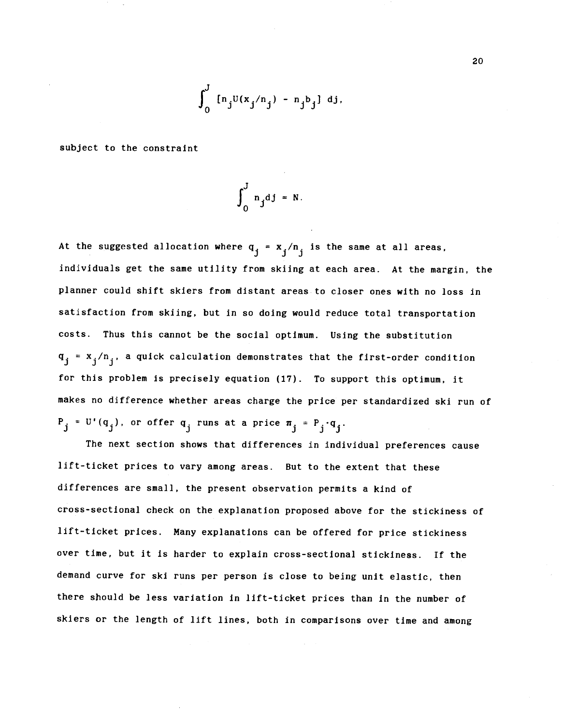$$
\int_0^J [n_j U(x_j/n_j) - n_j b_j] dy,
$$

subject to the constraint

$$
\int_0^J n_j d j = N.
$$

At the suggested allocation where  $q_j = x_j/n_j$  is the same at all areas, individuals get the same utility from skiing at each area. At the margin, the planner could shift skiers from distant areas to closer ones with no loss in satisfaction from skiing, but in so doing would reduce total transportation costs. Thus this cannot be the social optimum. Using the substitution  $q_j = x_j/n_j$ , a quick calculation demonstrates that the first-order condition for this problem is precisely equation (17). To support this optimum, it makes no difference whether areas charge the price per standardized ski run of  $P_j = U'(q_j)$ , or offer  $q_j$  runs at a price  $\pi_j = P_j \cdot q_j$ .

The next section shows that differences in individual preferences cause lift-ticket prices to vary among areas. But to the extent that these differences are small, the present observation permits a kind of cross-sectional check on the explanation proposed above for the stickiness of lift-ticket prices. Many explanations can be offered for price stickiness over time, but it is harder to explain cross-sectional stickiness. If the demand curve for ski runs per person is close to being unit elastic, then there should be less variation in lift-ticket prices than in the number of skiers or the length of lift lines, both in comparisons over time and among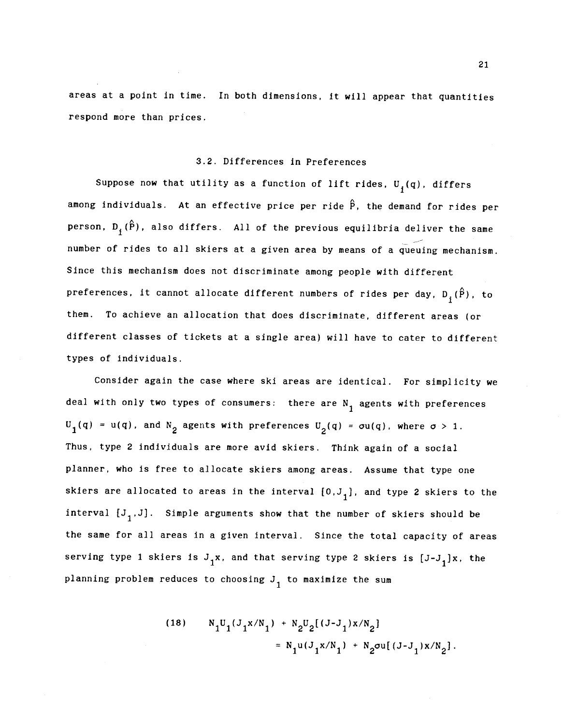areas at a point in time. In both dimensions, it will appear that quantities respond more than prices.

## 3.2. Differences in Preferences

Suppose now that utility as a function of lift rides,  $U_j(q)$ , differs among individuals. At an effective price per ride  $\hat{P}$ , the demand for rides per person,  $D_i(\hat{P})$ , also differs. All of the previous equilibria deliver the same number of rides to all skiers at a given area by means of a queuing mechanism. Since this mechanism does not discriminate among people with different preferences, it cannot allocate different numbers of rides per day,  $D_3(\hat{P})$ , to them. To achieve an allocation that does discriminate, different areas (or different classes of tickets at a single area) will have to cater to different types of individuals.

Consider again the case where ski areas are identical. For simplicity we deal with only two types of consumers: there are  $N_{1}$  agents with preferences  $U_1(q) = u(q)$ , and  $N_2$  agents with preferences  $U_2(q) = \sigma u(q)$ , where  $\sigma > 1$ . Thus, type 2 individuals are more avid skiers. Think again of a social planner, who Is free to allocate skiers among areas. Assume that type one skiers are allocated to areas in the interval  $[0,J_1]$ , and type 2 skiers to the interval  $[J_1,J]$ . Simple arguments show that the number of skiers should be the same for all areas In a given interval. Since the total capacity of areas serving type 1 skiers is  $J_1x$ , and that serving type 2 skiers is  $[J-J_1]x$ , the planning problem reduces to choosing  $J_1$  to maximize the sum

(18) 
$$
N_1U_1(J_1x/N_1) + N_2U_2[(J-J_1)x/N_2] = N_1u(J_1x/N_1) + N_2\sigma u[(J-J_1)x/N_2].
$$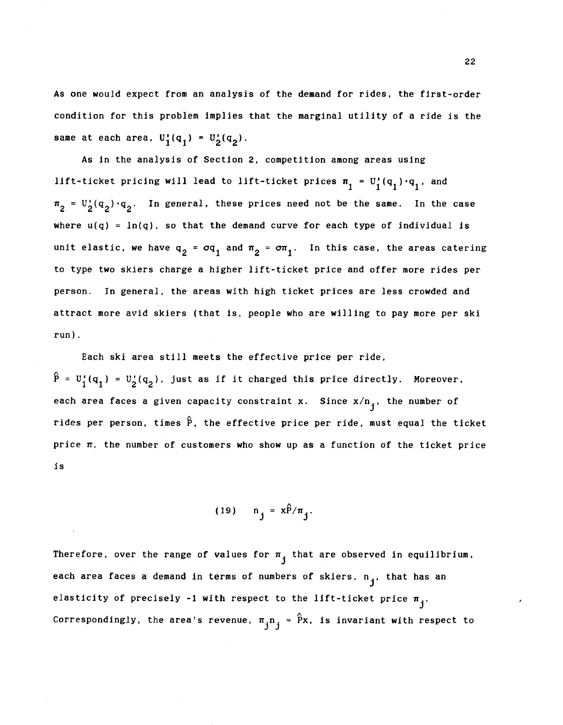As one would expect from an analysis of the demand for rides, the first-order condition for this problem implies that the marginal utility of a ride is the same at each area,  $U_1^{\dagger}(q_1) = U_2^{\dagger}(q_2)$ .

As in the analysis of Section 2, competition among areas using lift-ticket pricing will lead to lift-ticket prices  $\pi_1 = U_1^{\dagger}(q_1) \cdot q_1^{\dagger}$ , and  $\pi_2 = U_2(q_2) \cdot q_2$ . In general, these prices need not be the same. In the case where  $u(q) = \ln(q)$ , so that the demand curve for each type of individual is unit elastic, we have  $q_2 = q_1$  and  $\pi_2 = \sigma \pi_1$ . In this case, the areas catering to type two skiers charge a higher lift-ticket price and offer more rides per person. In general, the areas with high ticket prices are less crowded and attract more avid skiers (that is, people who are willing to pay more per ski run).

Each ski area still meets the effective price per ride,  $\hat{P} = U_1'(q_1) = U_2'(q_2)$ , just as if it charged this price directly. Moreover, each area faces a given capacity constraint x. Since  $x/n_j$ , the number of rides per person, times  $\hat{P}$ , the effective price per ride, must equal the ticket price  $\pi$ , the number of customers who show up as a function of the ticket price is

$$
(19) \quad n_j = x\hat{P}/\pi_j.
$$

Therefore, over the range of values for  $\pi$ , that are observed in equilibrium, each area faces a demand in terms of numbers of skiers,  $n_{1}$ , that has an elasticity of precisely -1 with respect to the lift-ticket price  $\pi_{i}$ . Correspondingly, the area's revenue,  $\pi_{j}n_{j} = \hat{P}x$ , is invariant with respect to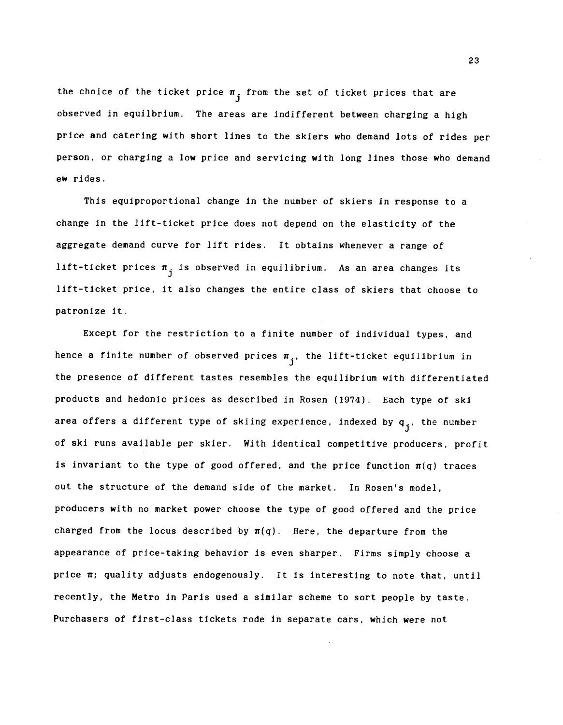the choice of the ticket price  $\pi$ <sub>i</sub> from the set of ticket prices that are observed in equilbrium. The areas are indifferent between charging a high price and catering with short lines to the skiers who demand lots of rides per person, or charging a low price and servicing with long lines those who demand ew rides.

This equiproportional change in the number of skiers in response to a change In the lift-ticket price does not depend on the elasticity of the aggregate demand curve for lift rides. It obtains whenever a range of lift-ticket prices  $\pi_i$  is observed in equilibrium. As an area changes its lift-ticket price, It also changes the entire class of skiers that choose to patronize it.

Except for the restriction to a finite number of individual types, and hence a finite number of observed prices  $\pi_i$ , the lift-ticket equilibrium in the presence of different tastes resembles the equilibrium with differentiated products and hedonic prices as described In Rosen (1974). Each type of ski area offers a different type of skiing experience, indexed by  $q_i$ , the number of ski runs available per skier. With identical competitive producers, profit is invariant to the type of good offered, and the price function  $\pi(q)$  traces out the structure of the demand side of the market. In Rosen's model, producers with no market power choose the type of good offered and the price charged from the locus described by  $\pi(q)$ . Here, the departure from the appearance of price-taking behavior Is even sharper. Firms simply choose a price  $\pi$ ; quality adjusts endogenously. It is interesting to note that, until recently, the Metro in Paris used a similar scheme to sort people by taste. Purchasers of first-class tickets rode in separate cars, which were not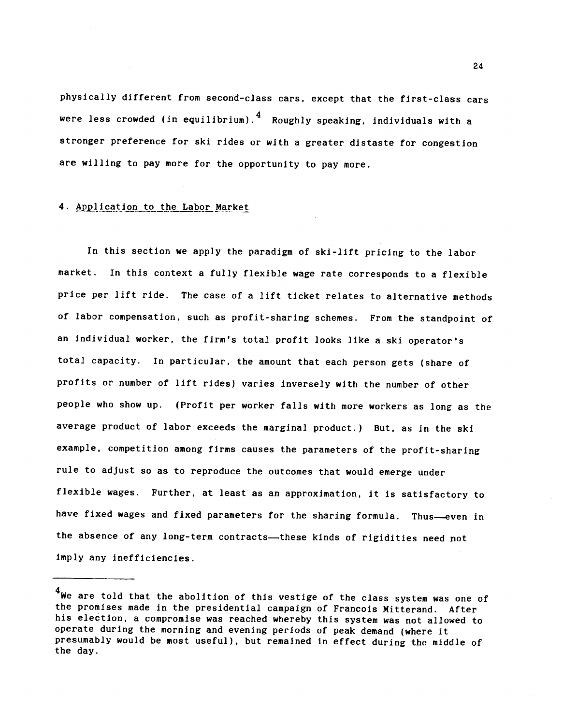physically different from second-class cars, except that the first-class cars were less crowded (in equilibrium).  $\frac{4}{1}$  Roughly speaking, individuals with a stronger preference for ski rides or with a greater distaste for congestion are willing to pay more for the opportunity to pay more.

## 4. Application to the Labor Market

In this section we apply the paradigm of ski-lift pricing to the labor market. In this context a fully flexible wage rate corresponds to a flexible price per lift ride. The case of a lift ticket relates to alternative methods of labor compensation, such as profit-sharing schemes. From the standpoint of an individual worker, the firm's total profit looks like a ski operator's total capacity. In particular, the amount that each person gets (share of profits or number of lift rides) varies inversely with the number of other people who show up. (Profit per worker falls with more workers as long as the average product of labor exceeds the marginal product.) But, as in the ski example, competition among firms causes the parameters of the profit-sharing rule to adjust so as to reproduce the outcomes that would emerge under flexible wages. Further, at least as an approximation, it is satisfactory to have fixed wages and fixed parameters for the sharing formula. Thus—even in the absence of any long-term contracts—these kinds of rigidities need not imply any inefficiencies.

 $^{\boldsymbol{4}}$ We are told that the abolition of this vestige of the class system was one of the promises made In the presidential campaign of Francois Mitterand. After his election, a compromise was reached whereby this system was not allowed to operate during the morning and evening periods of peak demand (where it presumably would be most useful), but remained in effect during the middle of the day.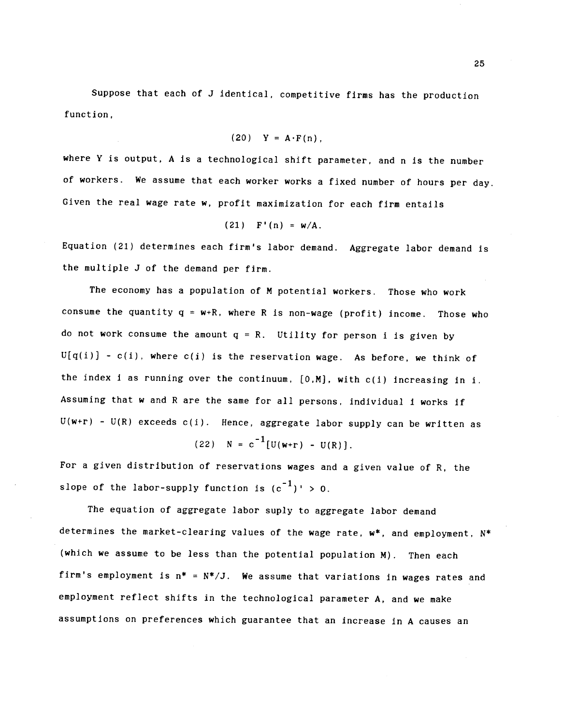Suppose that each of J identical, competitive firms has the production function,

$$
(20) \quad Y = A \cdot F(n),
$$

where Y is output, A is a technological shift parameter, and n is the number of workers. We assume that each worker works a fixed number of hours per day. Given the real wage rate w, profit maximization for each firm entails

$$
(21) \quad F'(n) = w/A.
$$

Equation (21) determines each firm's labor demand. Aggregate labor demand is the multiple J of the demand per firm.

The economy has a population of M potential workers. Those who work consume the quantity  $q = w+R$ , where R is non-wage (profit) income. Those who do not work consume the amount  $q = R$ . Utility for person i is given by  $U[q(i)] - c(i)$ , where  $c(i)$  is the reservation wage. As before, we think of the index i as running over the continuum,  $[0,M]$ , with  $c(i)$  increasing in i. Assuming that w and R are the same for all persons, individual i works if  $U(w+r)$  -  $U(R)$  exceeds  $C(i)$ . Hence, aggregate labor supply can be written as

(22)  $N = c^{-1}[U(w+r) - U(R)].$ 

For a given distribution of reservations wages and a given value of R, the slope of the labor-supply function is  $(c^{-1})' > 0$ .

The equation of aggregate labor suply to aggregate labor demand determines the market-clearing values of the wage rate, w\*, and employment, N\* (which we assume to be less than the potential population M). Then each firm's employment is  $n^* = N^*/J$ . We assume that variations in wages rates and employment reflect shifts in the technological parameter A, and we make assumptions on preferences which guarantee that an increase in A causes an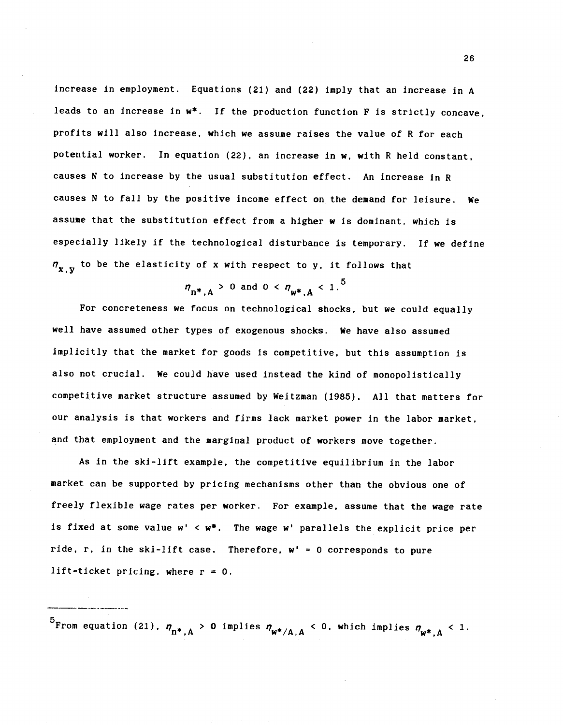increase In employment. Equations (21) and (22) imply that an increase in A leads to an increase in  $w^*$ . If the production function F is strictly concave, profits will also increase, which we assume raises the value of R for each potential worker. In equation (22), an Increase in w, with R held constant, causes N to increase by the usual substitution effect. An increase in R causes N to fall by the positive income effect on the demand for leisure. We assume that the substitution effect from a higher w is dominant, which is especially likely if the technological disturbance is temporary. If we define  $\eta_{\mathbf{y},\mathbf{y}}$  to be the elasticity of x with respect to y, it follows that

$$
\eta_{n^*,A}
$$
 > 0 and 0  $\langle \eta_{w^*,A} \rangle$  1.<sup>5</sup>

For concreteness we focus on technological shocks, but we could equally well have assumed other types of exogenous shocks. We have also assumed implicitly that the market for goods is competitive, but this assumption is also not crucial. We could have used instead the kind of monopolistically competitive market structure assumed by Weitzman (1985). All that matters for our analysis is that workers and firms lack market power in the labor market, and that employment and the marginal product of workers move together.

As In the ski-lift example, the competitive equilibrium in the labor market can be supported by pricing mechanisms other than the obvious one of freely flexible wage rates per worker. For example, assume that the wage rate is fixed at some value  $w' < w^*$ . The wage w' parallels the explicit price per ride, r, in the ski-lift case. Therefore,  $w' = 0$  corresponds to pure lift-ticket pricing, where  $r = 0$ .

 $^{5}$ From equation (21),  $\eta_{\rm n*,A}^{\rm n}$  > 0 implies  $\eta_{\rm w*,A}^{\rm n}$  < 0, which implies  $\eta_{\rm w*,A}^{\rm n}$  < 1.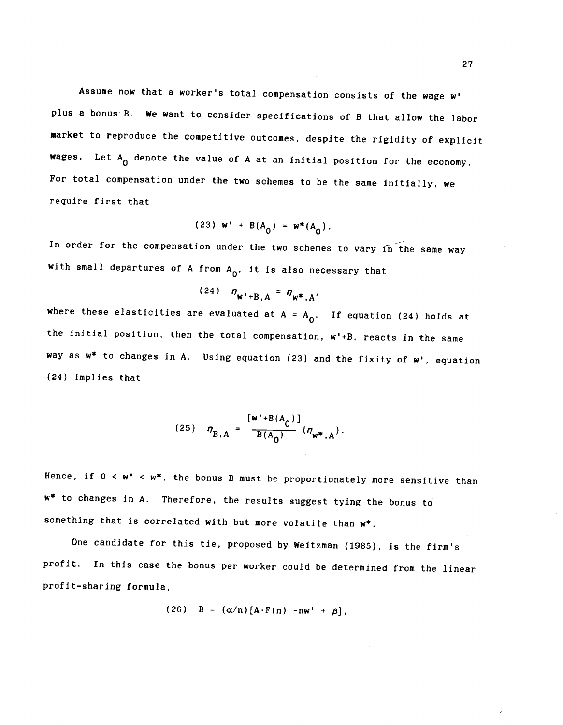Assume now that a worker's total compensation consists of the wage w' plus a bonus B. We want to consider specifications of B that allow the labor market to reproduce the competitive outcomes, despite the rigidity of explicit wages. Let  ${\rm A}^{}_0$  denote the value of A at an initial position for the economy. For total compensation under the two schemes to be the same initially, we require first that

(23) 
$$
w' + B(A_0) = w^*(A_0)
$$
.

In order for the compensation under the two schemes to vary in the same way with small departures of A from  $A_0$ , it is also necessary that

$$
(24) \t \eta_{W'+B,A} = \eta_{W^*,A'}
$$

where these elasticities are evaluated at  $A = A_0$ . If equation (24) holds at the initial position, then the total compensation,  $w' + B$ , reacts in the same way as  $w^*$  to changes in A. Using equation (23) and the fixity of  $w'$ , equation (24) implies that

(25) 
$$
\eta_{B,A} = \frac{[w^+ + B(A_0)]}{B(A_0)} (\eta_{w^*,A}).
$$

Hence, if  $0 < w' < w^*$ , the bonus B must be proportionately more sensitive than w\* to changes in A. Therefore, the results suggest tying the bonus to something that is correlated with but more volatile than  $w^*$ .

One candidate for this tie, proposed by Weitzman (1985), is the firm's profit. In this case the bonus per worker could be determined from the linear profit-sharing formula,

$$
(26) \quad B = (\alpha/n) [A \cdot F(n) - n w' + \beta],
$$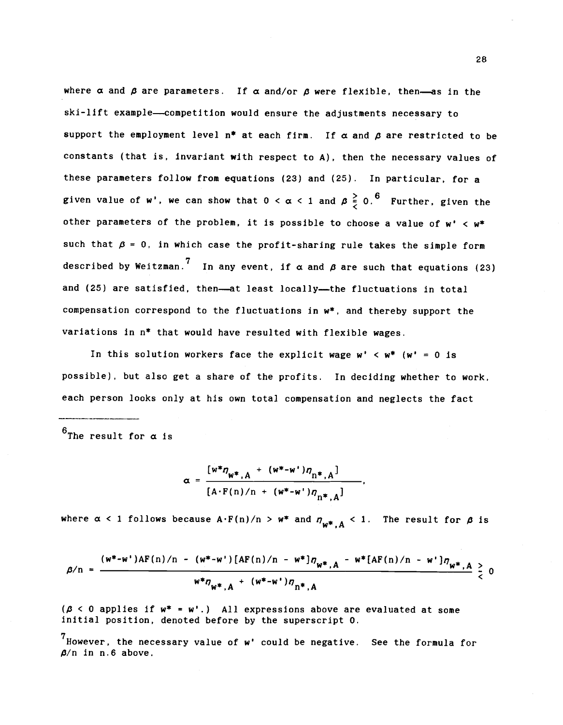where  $\alpha$  and  $\beta$  are parameters. If  $\alpha$  and/or  $\beta$  were flexible, then—as in the ski-lift example—competition would ensure the adjustments necessary to support the employment level  $n^*$  at each firm. If  $\alpha$  and  $\beta$  are restricted to be constants (that is, invariant with respect to A), then the necessary values of these parameters follow from equations (23) and (25). In particular, for a given value of w', we can show that  $0 < \alpha < 1$  and  $\beta \frac{5}{5}$  0.<sup>6</sup> Further, given the other parameters of the problem, it is possible to choose a value of  $w' < w^*$ such that  $\beta$  = 0, in which case the profit-sharing rule takes the simple form described by Weitzman.<sup>7</sup> In any event, if  $\alpha$  and  $\beta$  are such that equations (23) and (25) are satisfied, then—at least locally—the fluctuations in total compensation correspond to the fluctuations in  $w^*$ , and thereby support the variations in n\* that would have resulted with flexible wages.

In this solution workers face the explicit wage  $w' < w^*$  (w' = 0 is possible), but also get a share of the profits. In deciding whether to work, each person looks only at his own total compensation and neglects the fact

 $<sup>6</sup>$ The result for  $\alpha$  is</sup>

$$
\alpha = \frac{[w^* \eta_{w^*, A} + (w^* - w^*) \eta_{n^*, A}]}{[A \cdot F(n) / n + (w^* - w^*) \eta_{n^*, A}]},
$$

where  $\alpha$  < 1 follows because  $A \cdot F(n)/n > w^*$  and  $n_{w^*,A} < 1$ . The result for  $\beta$  is

$$
\beta/n = \frac{(w^* - w^*)AF(n)/n - (w^* - w^*)[AF(n)/n - w^*]\eta_{w^*,A} - w^*[AF(n)/n - w^*]\eta_{w^*,A}}{w^*\eta_{w^*,A} + (w^* - w^*)\eta_{n^*,A}} \geq 0
$$

 $(\beta \le 0$  applies if  $w^* = w'$ .) All expressions above are evaluated at some initial position, denoted before by the superscript 0.

 $7$  However, the necessary value of  $w'$  could be negative. See the formula for  $\beta$ /n in n.6 above.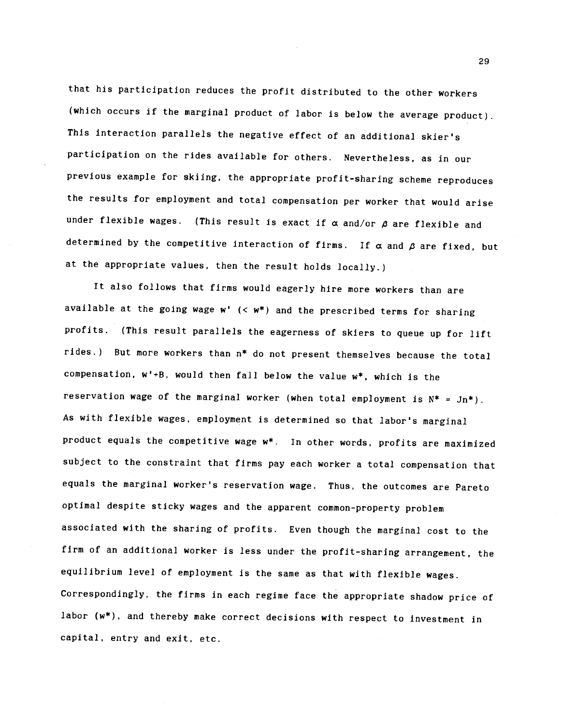that his participation reduces the profit distributed to the other workers (which occurs if the marginal product of labor is below the average product). This interaction parallels the negative effect of an additional skier's participation on the rides available for others. Nevertheless, as in our previous example for skiing, the appropriate profit-sharing scheme reproduces the results for employment and total compensation per worker that would arise under flexible wages. (This result is exact if  $\alpha$  and/or  $\beta$  are flexible and determined by the competitive interaction of firms. If  $\alpha$  and  $\beta$  are fixed, but at the appropriate values, then the result holds locally.)

It also follows that firms would eagerly hire more workers than are available at the going wage  $w'$  (<  $w^*$ ) and the prescribed terms for sharing profits. (This result parallels the eagerness of skiers to queue up for lift rides.) But more workers than  $n^*$  do not present themselves because the total compensation,  $w' + B$ , would then fall below the value  $w^*$ , which is the reservation wage of the marginal worker (when total employment is  $N^* = Jn^*$ ). As with flexible wages, employment is determined so that labor's marginal product equals the competitive wage  $w^*$ . In other words, profits are maximized subject to the constraint that firms pay each worker a total compensation that equals the marginal worker's reservation wage. Thus, the outcomes are Pareto optimal despite sticky wages and the apparent common-property problem associated with the sharing of profits. Even though the marginal cost to the firm of an additional worker is less under the profit-sharing arrangement, the equilibrium level of employment is the same as that with flexible wages. Correspondingly, the firms in each regime face the appropriate shadow price of labor (w\*), and thereby make correct decisions with respect to investment in capital, entry and exit, etc.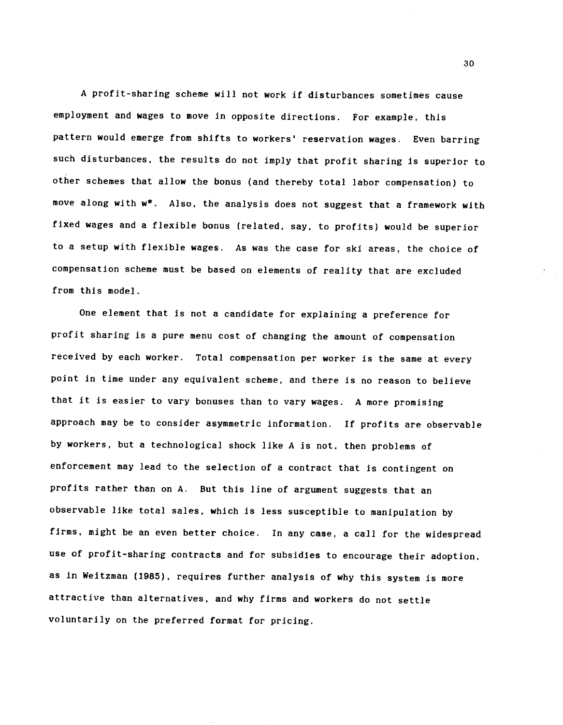A profit-sharing scheme will not work if disturbances sometimes cause employment and wages to move in opposite directions. For example, this pattern would emerge from shifts to workers' reservation wages. Even barring such disturbances, the results do not imply that profit sharing is superior to other schemes that allow the bonus (and thereby total labor compensation) to move along with w\*. Also, the analysis does not suggest that a framework with fixed wages and a flexible bonus (related, say, to profits) would be superior to a setup with flexible wages. As was the case for ski areas, the choice of compensation scheme must be based on elements of reality that are excluded from this model.

One element that is not a candidate for explaining a preference for profit sharing is a pure menu cost of changing the amount of compensation received by each worker. Total compensation per worker is the same at every point in time under any equivalent scheme, and there Is no reason to believe that it is easier to vary bonuses than to vary wages. A more promising approach may be to consider asymmetric information. If profits are observable by workers, but a technological shock like A is not, then problems of enforcement may lead to the selection of a contract that is contingent on profits rather than on A. But this line of argument suggests that an observable like total sales, which is less susceptible to manipulation by firms, might be an even better choice. In any case, a call for the widespread use of profit-sharing contracts and for subsidies to encourage their adoption, as in Weitzman (1985), requires further analysis of why this System is more attractive than alternatives, and why firms and workers do not settle voluntarily on the preferred format for pricing.